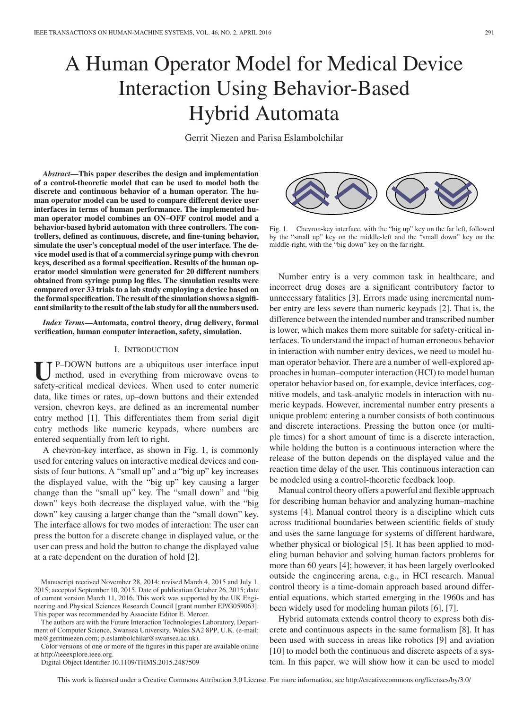# A Human Operator Model for Medical Device Interaction Using Behavior-Based Hybrid Automata

Gerrit Niezen and Parisa Eslambolchilar

*Abstract***—This paper describes the design and implementation of a control-theoretic model that can be used to model both the discrete and continuous behavior of a human operator. The human operator model can be used to compare different device user interfaces in terms of human performance. The implemented human operator model combines an ON–OFF control model and a behavior-based hybrid automaton with three controllers. The controllers, defined as continuous, discrete, and fine-tuning behavior, simulate the user's conceptual model of the user interface. The device model used is that of a commercial syringe pump with chevron keys, described as a formal specification. Results of the human operator model simulation were generated for 20 different numbers obtained from syringe pump log files. The simulation results were compared over 33 trials to a lab study employing a device based on the formal specification. The result of the simulation shows a significant similarity to the result of the lab study for all the numbers used.**

*Index Terms***—Automata, control theory, drug delivery, formal verification, human computer interaction, safety, simulation.**

# I. INTRODUCTION

**U**P–DOWN buttons are a ubiquitous user interface input method, used in everything from microwave ovens to safety-critical medical devices. When used to enter numeric data, like times or rates, up–down buttons and their extended version, chevron keys, are defined as an incremental number entry method [1]. This differentiates them from serial digit entry methods like numeric keypads, where numbers are entered sequentially from left to right.

A chevron-key interface, as shown in Fig. 1, is commonly used for entering values on interactive medical devices and consists of four buttons. A "small up" and a "big up" key increases the displayed value, with the "big up" key causing a larger change than the "small up" key. The "small down" and "big down" keys both decrease the displayed value, with the "big down" key causing a larger change than the "small down" key. The interface allows for two modes of interaction: The user can press the button for a discrete change in displayed value, or the user can press and hold the button to change the displayed value at a rate dependent on the duration of hold [2].

The authors are with the Future Interaction Technologies Laboratory, Department of Computer Science, Swansea University, Wales SA2 8PP, U.K. (e-mail: me@gerritniezen.com; p.eslambolchilar@swansea.ac.uk).

Color versions of one or more of the figures in this paper are available online at http://ieeexplore.ieee.org.

Digital Object Identifier 10.1109/THMS.2015.2487509



Fig. 1. Chevron-key interface, with the "big up" key on the far left, followed by the "small up" key on the middle-left and the "small down" key on the middle-right, with the "big down" key on the far right.

Number entry is a very common task in healthcare, and incorrect drug doses are a significant contributory factor to unnecessary fatalities [3]. Errors made using incremental number entry are less severe than numeric keypads [2]. That is, the difference between the intended number and transcribed number is lower, which makes them more suitable for safety-critical interfaces. To understand the impact of human erroneous behavior in interaction with number entry devices, we need to model human operator behavior. There are a number of well-explored approaches in human–computer interaction (HCI) to model human operator behavior based on, for example, device interfaces, cognitive models, and task-analytic models in interaction with numeric keypads. However, incremental number entry presents a unique problem: entering a number consists of both continuous and discrete interactions. Pressing the button once (or multiple times) for a short amount of time is a discrete interaction, while holding the button is a continuous interaction where the release of the button depends on the displayed value and the reaction time delay of the user. This continuous interaction can be modeled using a control-theoretic feedback loop.

Manual control theory offers a powerful and flexible approach for describing human behavior and analyzing human–machine systems [4]. Manual control theory is a discipline which cuts across traditional boundaries between scientific fields of study and uses the same language for systems of different hardware, whether physical or biological [5]. It has been applied to modeling human behavior and solving human factors problems for more than 60 years [4]; however, it has been largely overlooked outside the engineering arena, e.g., in HCI research. Manual control theory is a time-domain approach based around differential equations, which started emerging in the 1960s and has been widely used for modeling human pilots [6], [7].

Hybrid automata extends control theory to express both discrete and continuous aspects in the same formalism [8]. It has been used with success in areas like robotics [9] and aviation [10] to model both the continuous and discrete aspects of a system. In this paper, we will show how it can be used to model

This work is licensed under a Creative Commons Attribution 3.0 License. For more information, see http://creativecommons.org/licenses/by/3.0/

Manuscript received November 28, 2014; revised March 4, 2015 and July 1, 2015; accepted September 10, 2015. Date of publication October 26, 2015; date of current version March 11, 2016. This work was supported by the UK Engineering and Physical Sciences Research Council [grant number EP/G059063]. This paper was recommended by Associate Editor E. Mercer.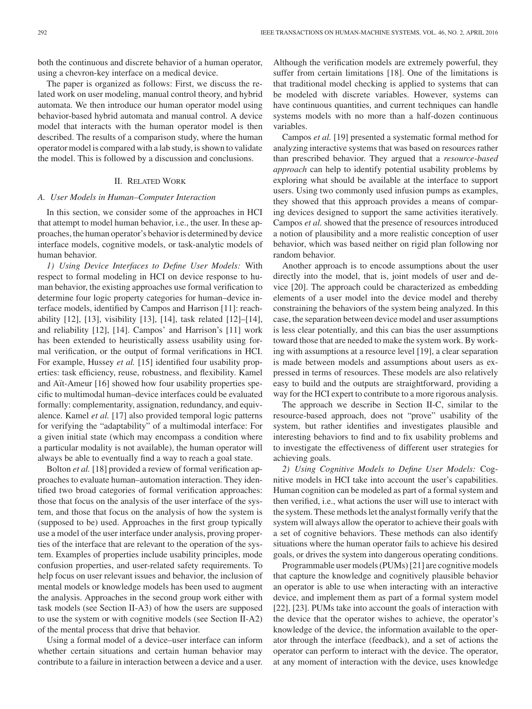both the continuous and discrete behavior of a human operator, using a chevron-key interface on a medical device.

The paper is organized as follows: First, we discuss the related work on user modeling, manual control theory, and hybrid automata. We then introduce our human operator model using behavior-based hybrid automata and manual control. A device model that interacts with the human operator model is then described. The results of a comparison study, where the human operator model is compared with a lab study, is shown to validate the model. This is followed by a discussion and conclusions.

## II. RELATED WORK

## *A. User Models in Human–Computer Interaction*

In this section, we consider some of the approaches in HCI that attempt to model human behavior, i.e., the user. In these approaches, the human operator's behavior is determined by device interface models, cognitive models, or task-analytic models of human behavior.

*1) Using Device Interfaces to Define User Models:* With respect to formal modeling in HCI on device response to human behavior, the existing approaches use formal verification to determine four logic property categories for human–device interface models, identified by Campos and Harrison [11]: reachability [12], [13], visibility [13], [14], task related [12]–[14], and reliability [12], [14]. Campos' and Harrison's [11] work has been extended to heuristically assess usability using formal verification, or the output of formal verifications in HCI. For example, Hussey *et al.* [15] identified four usability properties: task efficiency, reuse, robustness, and flexibility. Kamel and Aït-Ameur [16] showed how four usability properties specific to multimodal human–device interfaces could be evaluated formally: complementarity, assignation, redundancy, and equivalence. Kamel *et al.* [17] also provided temporal logic patterns for verifying the "adaptability" of a multimodal interface: For a given initial state (which may encompass a condition where a particular modality is not available), the human operator will always be able to eventually find a way to reach a goal state.

Bolton *et al.* [18] provided a review of formal verification approaches to evaluate human–automation interaction. They identified two broad categories of formal verification approaches: those that focus on the analysis of the user interface of the system, and those that focus on the analysis of how the system is (supposed to be) used. Approaches in the first group typically use a model of the user interface under analysis, proving properties of the interface that are relevant to the operation of the system. Examples of properties include usability principles, mode confusion properties, and user-related safety requirements. To help focus on user relevant issues and behavior, the inclusion of mental models or knowledge models has been used to augment the analysis. Approaches in the second group work either with task models (see Section II-A3) of how the users are supposed to use the system or with cognitive models (see Section II-A2) of the mental process that drive that behavior.

Using a formal model of a device–user interface can inform whether certain situations and certain human behavior may contribute to a failure in interaction between a device and a user. Although the verification models are extremely powerful, they suffer from certain limitations [18]. One of the limitations is that traditional model checking is applied to systems that can be modeled with discrete variables. However, systems can have continuous quantities, and current techniques can handle systems models with no more than a half-dozen continuous variables.

Campos *et al.* [19] presented a systematic formal method for analyzing interactive systems that was based on resources rather than prescribed behavior. They argued that a *resource-based approach* can help to identify potential usability problems by exploring what should be available at the interface to support users. Using two commonly used infusion pumps as examples, they showed that this approach provides a means of comparing devices designed to support the same activities iteratively. Campos *et al.* showed that the presence of resources introduced a notion of plausibility and a more realistic conception of user behavior, which was based neither on rigid plan following nor random behavior.

Another approach is to encode assumptions about the user directly into the model, that is, joint models of user and device [20]. The approach could be characterized as embedding elements of a user model into the device model and thereby constraining the behaviors of the system being analyzed. In this case, the separation between device model and user assumptions is less clear potentially, and this can bias the user assumptions toward those that are needed to make the system work. By working with assumptions at a resource level [19], a clear separation is made between models and assumptions about users as expressed in terms of resources. These models are also relatively easy to build and the outputs are straightforward, providing a way for the HCI expert to contribute to a more rigorous analysis.

The approach we describe in Section II-C, similar to the resource-based approach, does not "prove" usability of the system, but rather identifies and investigates plausible and interesting behaviors to find and to fix usability problems and to investigate the effectiveness of different user strategies for achieving goals.

*2) Using Cognitive Models to Define User Models:* Cognitive models in HCI take into account the user's capabilities. Human cognition can be modeled as part of a formal system and then verified, i.e., what actions the user will use to interact with the system. These methods let the analyst formally verify that the system will always allow the operator to achieve their goals with a set of cognitive behaviors. These methods can also identify situations where the human operator fails to achieve his desired goals, or drives the system into dangerous operating conditions.

Programmable user models (PUMs) [21] are cognitive models that capture the knowledge and cognitively plausible behavior an operator is able to use when interacting with an interactive device, and implement them as part of a formal system model [22], [23]. PUMs take into account the goals of interaction with the device that the operator wishes to achieve, the operator's knowledge of the device, the information available to the operator through the interface (feedback), and a set of actions the operator can perform to interact with the device. The operator, at any moment of interaction with the device, uses knowledge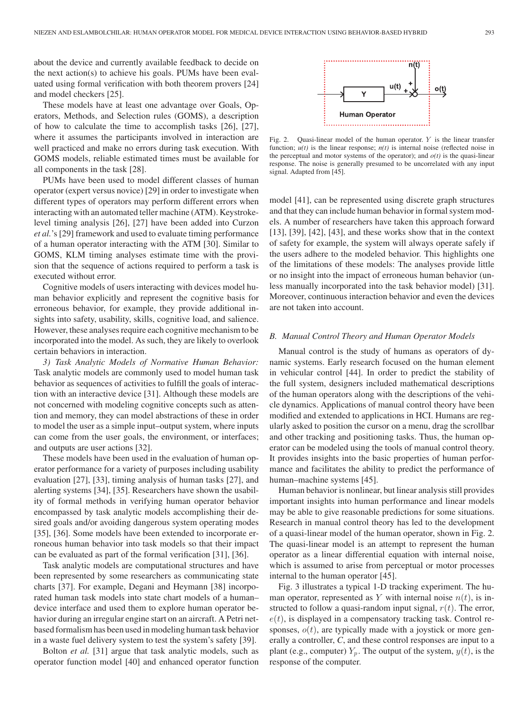about the device and currently available feedback to decide on the next action(s) to achieve his goals. PUMs have been evaluated using formal verification with both theorem provers [24] and model checkers [25].

These models have at least one advantage over Goals, Operators, Methods, and Selection rules (GOMS), a description of how to calculate the time to accomplish tasks [26], [27], where it assumes the participants involved in interaction are well practiced and make no errors during task execution. With GOMS models, reliable estimated times must be available for all components in the task [28].

PUMs have been used to model different classes of human operator (expert versus novice) [29] in order to investigate when different types of operators may perform different errors when interacting with an automated teller machine (ATM). Keystrokelevel timing analysis [26], [27] have been added into Curzon *et al.*'s [29] framework and used to evaluate timing performance of a human operator interacting with the ATM [30]. Similar to GOMS, KLM timing analyses estimate time with the provision that the sequence of actions required to perform a task is executed without error.

Cognitive models of users interacting with devices model human behavior explicitly and represent the cognitive basis for erroneous behavior, for example, they provide additional insights into safety, usability, skills, cognitive load, and salience. However, these analyses require each cognitive mechanism to be incorporated into the model. As such, they are likely to overlook certain behaviors in interaction.

*3) Task Analytic Models of Normative Human Behavior:* Task analytic models are commonly used to model human task behavior as sequences of activities to fulfill the goals of interaction with an interactive device [31]. Although these models are not concerned with modeling cognitive concepts such as attention and memory, they can model abstractions of these in order to model the user as a simple input–output system, where inputs can come from the user goals, the environment, or interfaces; and outputs are user actions [32].

These models have been used in the evaluation of human operator performance for a variety of purposes including usability evaluation [27], [33], timing analysis of human tasks [27], and alerting systems [34], [35]. Researchers have shown the usability of formal methods in verifying human operator behavior encompassed by task analytic models accomplishing their desired goals and/or avoiding dangerous system operating modes [35], [36]. Some models have been extended to incorporate erroneous human behavior into task models so that their impact can be evaluated as part of the formal verification [31], [36].

Task analytic models are computational structures and have been represented by some researchers as communicating state charts [37]. For example, Degani and Heymann [38] incorporated human task models into state chart models of a human– device interface and used them to explore human operator behavior during an irregular engine start on an aircraft. A Petri netbased formalism has been used in modeling human task behavior in a waste fuel delivery system to test the system's safety [39].

Bolton *et al.* [31] argue that task analytic models, such as operator function model [40] and enhanced operator function



Fig. 2. Quasi-linear model of the human operator.  $Y$  is the linear transfer function;  $u(t)$  is the linear response;  $n(t)$  is internal noise (reflected noise in the perceptual and motor systems of the operator); and  $o(t)$  is the quasi-linear response. The noise is generally presumed to be uncorrelated with any input signal. Adapted from [45].

model [41], can be represented using discrete graph structures and that they can include human behavior in formal system models. A number of researchers have taken this approach forward [13], [39], [42], [43], and these works show that in the context of safety for example, the system will always operate safely if the users adhere to the modeled behavior. This highlights one of the limitations of these models: The analyses provide little or no insight into the impact of erroneous human behavior (unless manually incorporated into the task behavior model) [31]. Moreover, continuous interaction behavior and even the devices are not taken into account.

# *B. Manual Control Theory and Human Operator Models*

Manual control is the study of humans as operators of dynamic systems. Early research focused on the human element in vehicular control [44]. In order to predict the stability of the full system, designers included mathematical descriptions of the human operators along with the descriptions of the vehicle dynamics. Applications of manual control theory have been modified and extended to applications in HCI. Humans are regularly asked to position the cursor on a menu, drag the scrollbar and other tracking and positioning tasks. Thus, the human operator can be modeled using the tools of manual control theory. It provides insights into the basic properties of human performance and facilitates the ability to predict the performance of human–machine systems [45].

Human behavior is nonlinear, but linear analysis still provides important insights into human performance and linear models may be able to give reasonable predictions for some situations. Research in manual control theory has led to the development of a quasi-linear model of the human operator, shown in Fig. 2. The quasi-linear model is an attempt to represent the human operator as a linear differential equation with internal noise, which is assumed to arise from perceptual or motor processes internal to the human operator [45].

Fig. 3 illustrates a typical 1-D tracking experiment. The human operator, represented as Y with internal noise  $n(t)$ , is instructed to follow a quasi-random input signal,  $r(t)$ . The error,  $e(t)$ , is displayed in a compensatory tracking task. Control responses,  $o(t)$ , are typically made with a joystick or more generally a controller, *C*, and these control responses are input to a plant (e.g., computer)  $Y_p$ . The output of the system,  $y(t)$ , is the response of the computer.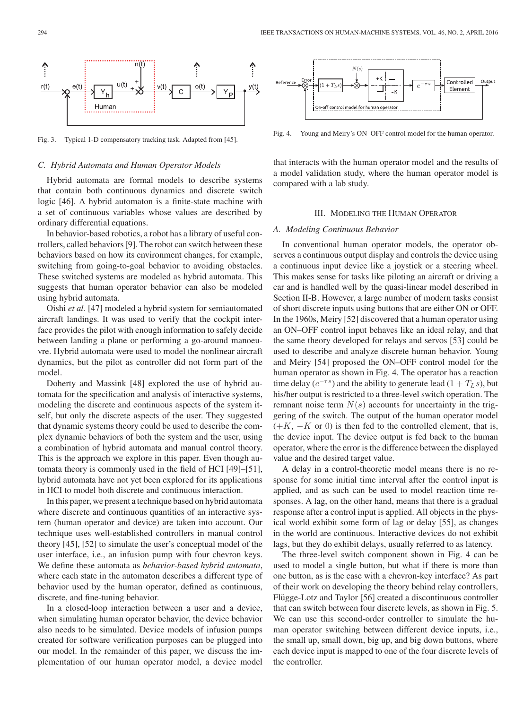

Fig. 3. Typical 1-D compensatory tracking task. Adapted from [45].

### *C. Hybrid Automata and Human Operator Models*

Hybrid automata are formal models to describe systems that contain both continuous dynamics and discrete switch logic [46]. A hybrid automaton is a finite-state machine with a set of continuous variables whose values are described by ordinary differential equations.

In behavior-based robotics, a robot has a library of useful controllers, called behaviors [9]. The robot can switch between these behaviors based on how its environment changes, for example, switching from going-to-goal behavior to avoiding obstacles. These switched systems are modeled as hybrid automata. This suggests that human operator behavior can also be modeled using hybrid automata.

Oishi *et al.* [47] modeled a hybrid system for semiautomated aircraft landings. It was used to verify that the cockpit interface provides the pilot with enough information to safely decide between landing a plane or performing a go-around manoeuvre. Hybrid automata were used to model the nonlinear aircraft dynamics, but the pilot as controller did not form part of the model.

Doherty and Massink [48] explored the use of hybrid automata for the specification and analysis of interactive systems, modeling the discrete and continuous aspects of the system itself, but only the discrete aspects of the user. They suggested that dynamic systems theory could be used to describe the complex dynamic behaviors of both the system and the user, using a combination of hybrid automata and manual control theory. This is the approach we explore in this paper. Even though automata theory is commonly used in the field of HCI [49]–[51], hybrid automata have not yet been explored for its applications in HCI to model both discrete and continuous interaction.

In this paper, we present a technique based on hybrid automata where discrete and continuous quantities of an interactive system (human operator and device) are taken into account. Our technique uses well-established controllers in manual control theory [45], [52] to simulate the user's conceptual model of the user interface, i.e., an infusion pump with four chevron keys. We define these automata as *behavior-based hybrid automata*, where each state in the automaton describes a different type of behavior used by the human operator, defined as continuous, discrete, and fine-tuning behavior.

In a closed-loop interaction between a user and a device, when simulating human operator behavior, the device behavior also needs to be simulated. Device models of infusion pumps created for software verification purposes can be plugged into our model. In the remainder of this paper, we discuss the implementation of our human operator model, a device model



Fig. 4. Young and Meiry's ON–OFF control model for the human operator.

that interacts with the human operator model and the results of a model validation study, where the human operator model is compared with a lab study.

# III. MODELING THE HUMAN OPERATOR

#### *A. Modeling Continuous Behavior*

In conventional human operator models, the operator observes a continuous output display and controls the device using a continuous input device like a joystick or a steering wheel. This makes sense for tasks like piloting an aircraft or driving a car and is handled well by the quasi-linear model described in Section II-B. However, a large number of modern tasks consist of short discrete inputs using buttons that are either ON or OFF. In the 1960s, Meiry [52] discovered that a human operator using an ON–OFF control input behaves like an ideal relay, and that the same theory developed for relays and servos [53] could be used to describe and analyze discrete human behavior. Young and Meiry [54] proposed the ON–OFF control model for the human operator as shown in Fig. 4. The operator has a reaction time delay ( $e^{-\tau s}$ ) and the ability to generate lead (1 +  $T_L s$ ), but his/her output is restricted to a three-level switch operation. The remnant noise term  $N(s)$  accounts for uncertainty in the triggering of the switch. The output of the human operator model  $(+K, -K \text{ or } 0)$  is then fed to the controlled element, that is, the device input. The device output is fed back to the human operator, where the error is the difference between the displayed value and the desired target value.

A delay in a control-theoretic model means there is no response for some initial time interval after the control input is applied, and as such can be used to model reaction time responses. A lag, on the other hand, means that there is a gradual response after a control input is applied. All objects in the physical world exhibit some form of lag or delay [55], as changes in the world are continuous. Interactive devices do not exhibit lags, but they do exhibit delays, usually referred to as latency.

The three-level switch component shown in Fig. 4 can be used to model a single button, but what if there is more than one button, as is the case with a chevron-key interface? As part of their work on developing the theory behind relay controllers, Flugge-Lotz and Taylor [56] created a discontinuous controller that can switch between four discrete levels, as shown in Fig. 5. We can use this second-order controller to simulate the human operator switching between different device inputs, i.e., the small up, small down, big up, and big down buttons, where each device input is mapped to one of the four discrete levels of the controller.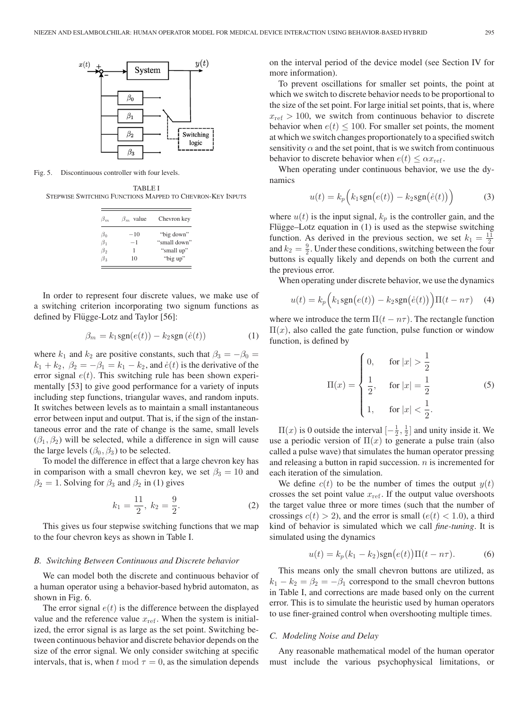

Fig. 5. Discontinuous controller with four levels.

TABLE I STEPWISE SWITCHING FUNCTIONS MAPPED TO CHEVRON-KEY INPUTS

| $\beta_m$ | $\beta_m$ value | Chevron key  |
|-----------|-----------------|--------------|
| $\beta_0$ | $-10$           | "big down"   |
| $\beta_1$ | $-1$            | "small down" |
| $\beta_2$ | 1               | "small up"   |
| $\beta_2$ | 10              | "big up"     |

In order to represent four discrete values, we make use of a switching criterion incorporating two signum functions as defined by Flügge-Lotz and Taylor [56]:

$$
\beta_m = k_1 \text{sgn}(e(t)) - k_2 \text{sgn}(\dot{e}(t)) \tag{1}
$$

where  $k_1$  and  $k_2$  are positive constants, such that  $\beta_3 = -\beta_0 =$  $k_1 + k_2$ ,  $\beta_2 = -\beta_1 = k_1 - k_2$ , and  $\dot{e}(t)$  is the derivative of the error signal  $e(t)$ . This switching rule has been shown experimentally [53] to give good performance for a variety of inputs including step functions, triangular waves, and random inputs. It switches between levels as to maintain a small instantaneous error between input and output. That is, if the sign of the instantaneous error and the rate of change is the same, small levels  $(\beta_1, \beta_2)$  will be selected, while a difference in sign will cause the large levels  $(\beta_0, \beta_3)$  to be selected.

To model the difference in effect that a large chevron key has in comparison with a small chevron key, we set  $\beta_3 = 10$  and  $\beta_2 = 1$ . Solving for  $\beta_3$  and  $\beta_2$  in (1) gives

$$
k_1 = \frac{11}{2}, \ k_2 = \frac{9}{2}.
$$
 (2)

This gives us four stepwise switching functions that we map to the four chevron keys as shown in Table I.

#### *B. Switching Between Continuous and Discrete behavior*

We can model both the discrete and continuous behavior of a human operator using a behavior-based hybrid automaton, as shown in Fig. 6.

The error signal  $e(t)$  is the difference between the displayed value and the reference value  $x_{ref}$ . When the system is initialized, the error signal is as large as the set point. Switching between continuous behavior and discrete behavior depends on the size of the error signal. We only consider switching at specific intervals, that is, when t mod  $\tau = 0$ , as the simulation depends on the interval period of the device model (see Section IV for more information).

To prevent oscillations for smaller set points, the point at which we switch to discrete behavior needs to be proportional to the size of the set point. For large initial set points, that is, where  $x_{\text{ref}} > 100$ , we switch from continuous behavior to discrete behavior when  $e(t) \leq 100$ . For smaller set points, the moment at which we switch changes proportionately to a specified switch sensitivity  $\alpha$  and the set point, that is we switch from continuous behavior to discrete behavior when  $e(t) \leq \alpha x_{\text{ref}}$ .

When operating under continuous behavior, we use the dynamics

$$
u(t) = k_p \Big( k_1 \text{sgn}(e(t)) - k_2 \text{sgn}(\dot{e}(t)) \Big) \tag{3}
$$

where  $u(t)$  is the input signal,  $k_p$  is the controller gain, and the Flügge–Lotz equation in  $(1)$  is used as the stepwise switching function. As derived in the previous section, we set  $k_1 = \frac{11}{2}$ and  $k_2 = \frac{9}{2}$ . Under these conditions, switching between the four buttons is equally likely and depends on both the current and the previous error.

When operating under discrete behavior, we use the dynamics

$$
u(t) = k_p \Big( k_1 \text{sgn}(e(t)) - k_2 \text{sgn}(\dot{e}(t)) \Big) \Pi(t - n\tau) \quad (4)
$$

where we introduce the term  $\Pi(t - n\tau)$ . The rectangle function  $\Pi(x)$ , also called the gate function, pulse function or window function, is defined by

$$
\Pi(x) = \begin{cases}\n0, & \text{for } |x| > \frac{1}{2} \\
\frac{1}{2}, & \text{for } |x| = \frac{1}{2} \\
1, & \text{for } |x| < \frac{1}{2}.\n\end{cases}
$$
\n(5)

 $\Pi(x)$  is 0 outside the interval  $\left[-\frac{1}{2},\frac{1}{2}\right]$  and unity inside it. We use a periodic version of  $\Pi(x)$  to generate a pulse train (also called a pulse wave) that simulates the human operator pressing and releasing a button in rapid succession.  $n$  is incremented for each iteration of the simulation.

We define  $c(t)$  to be the number of times the output  $y(t)$ crosses the set point value  $x_{ref}$ . If the output value overshoots the target value three or more times (such that the number of crossings  $c(t) > 2$ , and the error is small  $(e(t) < 1.0)$ , a third kind of behavior is simulated which we call *fine-tuning*. It is simulated using the dynamics

$$
u(t) = k_p(k_1 - k_2)sgn(e(t))\Pi(t - n\tau).
$$
 (6)

This means only the small chevron buttons are utilized, as  $k_1 - k_2 = \beta_2 = -\beta_1$  correspond to the small chevron buttons in Table I, and corrections are made based only on the current error. This is to simulate the heuristic used by human operators to use finer-grained control when overshooting multiple times.

#### *C. Modeling Noise and Delay*

Any reasonable mathematical model of the human operator must include the various psychophysical limitations, or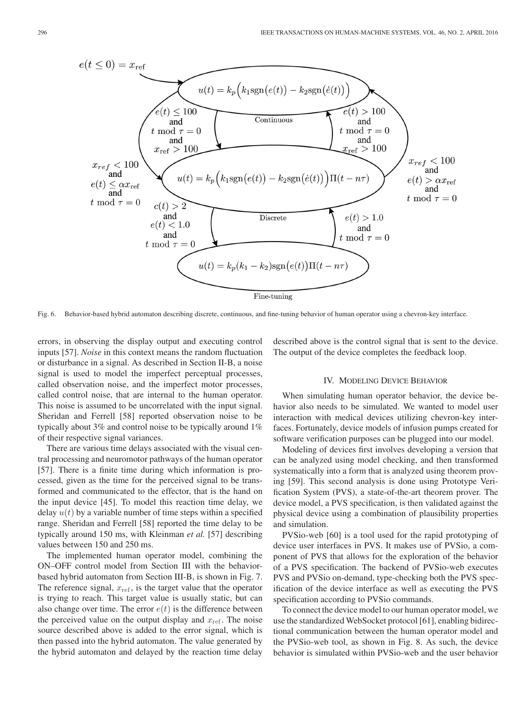

Fig. 6. Behavior-based hybrid automaton describing discrete, continuous, and fine-tuning behavior of human operator using a chevron-key interface.

errors, in observing the display output and executing control inputs [57]. *Noise* in this context means the random fluctuation or disturbance in a signal. As described in Section II-B, a noise signal is used to model the imperfect perceptual processes, called observation noise, and the imperfect motor processes, called control noise, that are internal to the human operator. This noise is assumed to be uncorrelated with the input signal. Sheridan and Ferrell [58] reported observation noise to be typically about 3% and control noise to be typically around 1% of their respective signal variances.

There are various time delays associated with the visual central processing and neuromotor pathways of the human operator [57]. There is a finite time during which information is processed, given as the time for the perceived signal to be transformed and communicated to the effector, that is the hand on the input device [45]. To model this reaction time delay, we delay  $u(t)$  by a variable number of time steps within a specified range. Sheridan and Ferrell [58] reported the time delay to be typically around 150 ms, with Kleinman *et al.* [57] describing values between 150 and 250 ms.

The implemented human operator model, combining the ON–OFF control model from Section III with the behaviorbased hybrid automaton from Section III-B, is shown in Fig. 7. The reference signal,  $x_{ref}$ , is the target value that the operator is trying to reach. This target value is usually static, but can also change over time. The error  $e(t)$  is the difference between the perceived value on the output display and  $x_{ref}$ . The noise source described above is added to the error signal, which is then passed into the hybrid automaton. The value generated by the hybrid automaton and delayed by the reaction time delay

described above is the control signal that is sent to the device. The output of the device completes the feedback loop.

## IV. MODELING DEVICE BEHAVIOR

When simulating human operator behavior, the device behavior also needs to be simulated. We wanted to model user interaction with medical devices utilizing chevron-key interfaces. Fortunately, device models of infusion pumps created for software verification purposes can be plugged into our model.

Modeling of devices first involves developing a version that can be analyzed using model checking, and then transformed systematically into a form that is analyzed using theorem proving [59]. This second analysis is done using Prototype Verification System (PVS), a state-of-the-art theorem prover. The device model, a PVS specification, is then validated against the physical device using a combination of plausibility properties and simulation.

PVSio-web [60] is a tool used for the rapid prototyping of device user interfaces in PVS. It makes use of PVSio, a component of PVS that allows for the exploration of the behavior of a PVS specification. The backend of PVSio-web executes PVS and PVSio on-demand, type-checking both the PVS specification of the device interface as well as executing the PVS specification according to PVSio commands.

To connect the device model to our human operator model, we use the standardized WebSocket protocol [61], enabling bidirectional communication between the human operator model and the PVSio-web tool, as shown in Fig. 8. As such, the device behavior is simulated within PVSio-web and the user behavior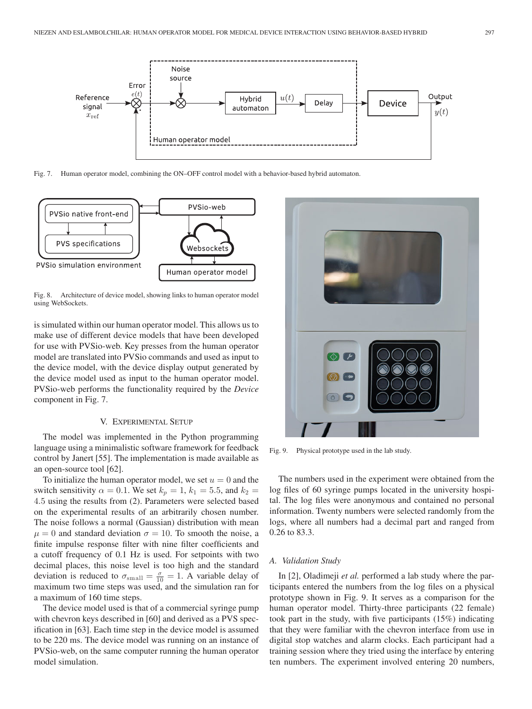

Fig. 7. Human operator model, combining the ON–OFF control model with a behavior-based hybrid automaton.



Fig. 8. Architecture of device model, showing links to human operator model using WebSockets.

is simulated within our human operator model. This allows us to make use of different device models that have been developed for use with PVSio-web. Key presses from the human operator model are translated into PVSio commands and used as input to the device model, with the device display output generated by the device model used as input to the human operator model. PVSio-web performs the functionality required by the *Device* component in Fig. 7.

## V. EXPERIMENTAL SETUP

The model was implemented in the Python programming language using a minimalistic software framework for feedback control by Janert [55]. The implementation is made available as an open-source tool [62].

To initialize the human operator model, we set  $u = 0$  and the switch sensitivity  $\alpha = 0.1$ . We set  $k_p = 1$ ,  $k_1 = 5.5$ , and  $k_2 =$ 4.5 using the results from (2). Parameters were selected based on the experimental results of an arbitrarily chosen number. The noise follows a normal (Gaussian) distribution with mean  $\mu = 0$  and standard deviation  $\sigma = 10$ . To smooth the noise, a finite impulse response filter with nine filter coefficients and a cutoff frequency of 0.1 Hz is used. For setpoints with two decimal places, this noise level is too high and the standard deviation is reduced to  $\sigma_{\text{small}} = \frac{\sigma}{10} = 1$ . A variable delay of maximum two time steps was used, and the simulation ran for a maximum of 160 time steps.

The device model used is that of a commercial syringe pump with chevron keys described in [60] and derived as a PVS specification in [63]. Each time step in the device model is assumed to be 220 ms. The device model was running on an instance of PVSio-web, on the same computer running the human operator model simulation.



Fig. 9. Physical prototype used in the lab study.

The numbers used in the experiment were obtained from the log files of 60 syringe pumps located in the university hospital. The log files were anonymous and contained no personal information. Twenty numbers were selected randomly from the logs, where all numbers had a decimal part and ranged from 0.26 to 83.3.

# *A. Validation Study*

In [2], Oladimeji *et al.* performed a lab study where the participants entered the numbers from the log files on a physical prototype shown in Fig. 9. It serves as a comparison for the human operator model. Thirty-three participants (22 female) took part in the study, with five participants (15%) indicating that they were familiar with the chevron interface from use in digital stop watches and alarm clocks. Each participant had a training session where they tried using the interface by entering ten numbers. The experiment involved entering 20 numbers,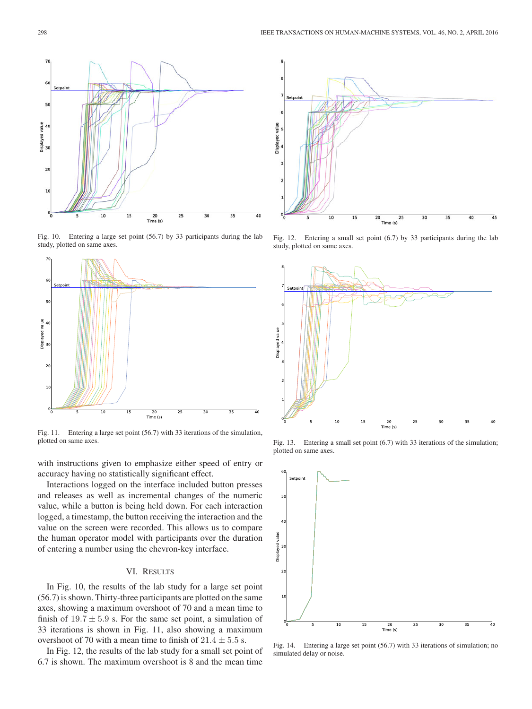

Fig. 10. Entering a large set point (56.7) by 33 participants during the lab study, plotted on same axes.



Fig. 11. Entering a large set point (56.7) with 33 iterations of the simulation, plotted on same axes.

with instructions given to emphasize either speed of entry or accuracy having no statistically significant effect.

Interactions logged on the interface included button presses and releases as well as incremental changes of the numeric value, while a button is being held down. For each interaction logged, a timestamp, the button receiving the interaction and the value on the screen were recorded. This allows us to compare the human operator model with participants over the duration of entering a number using the chevron-key interface.

# VI. RESULTS

In Fig. 10, the results of the lab study for a large set point (56.7) is shown. Thirty-three participants are plotted on the same axes, showing a maximum overshoot of 70 and a mean time to finish of  $19.7 \pm 5.9$  s. For the same set point, a simulation of 33 iterations is shown in Fig. 11, also showing a maximum overshoot of 70 with a mean time to finish of  $21.4 \pm 5.5$  s.

In Fig. 12, the results of the lab study for a small set point of 6.7 is shown. The maximum overshoot is 8 and the mean time



Fig. 12. Entering a small set point (6.7) by 33 participants during the lab study, plotted on same axes.



Fig. 13. Entering a small set point (6.7) with 33 iterations of the simulation; plotted on same axes.



Fig. 14. Entering a large set point (56.7) with 33 iterations of simulation; no simulated delay or noise.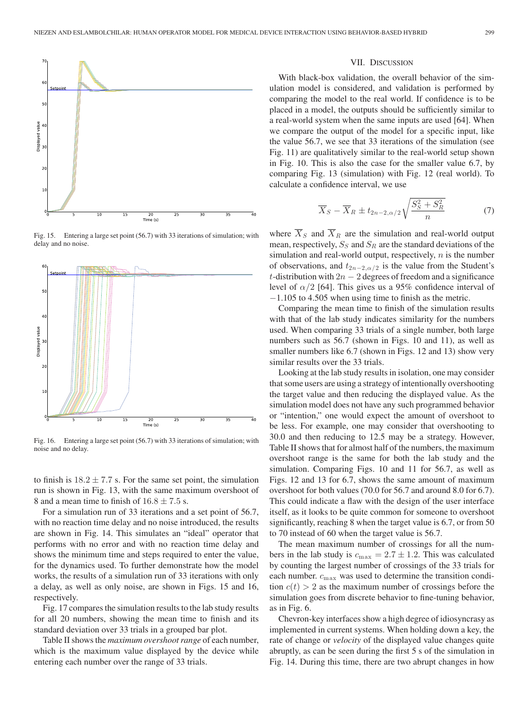

Fig. 15. Entering a large set point (56.7) with 33 iterations of simulation; with delay and no noise.



Fig. 16. Entering a large set point (56.7) with 33 iterations of simulation; with noise and no delay.

to finish is  $18.2 \pm 7.7$  s. For the same set point, the simulation run is shown in Fig. 13, with the same maximum overshoot of 8 and a mean time to finish of  $16.8 \pm 7.5$  s.

For a simulation run of 33 iterations and a set point of 56.7, with no reaction time delay and no noise introduced, the results are shown in Fig. 14. This simulates an "ideal" operator that performs with no error and with no reaction time delay and shows the minimum time and steps required to enter the value, for the dynamics used. To further demonstrate how the model works, the results of a simulation run of 33 iterations with only a delay, as well as only noise, are shown in Figs. 15 and 16, respectively.

Fig. 17 compares the simulation results to the lab study results for all 20 numbers, showing the mean time to finish and its standard deviation over 33 trials in a grouped bar plot.

Table II shows the *maximum overshoot range* of each number, which is the maximum value displayed by the device while entering each number over the range of 33 trials.

#### VII. DISCUSSION

With black-box validation, the overall behavior of the simulation model is considered, and validation is performed by comparing the model to the real world. If confidence is to be placed in a model, the outputs should be sufficiently similar to a real-world system when the same inputs are used [64]. When we compare the output of the model for a specific input, like the value 56.7, we see that 33 iterations of the simulation (see Fig. 11) are qualitatively similar to the real-world setup shown in Fig. 10. This is also the case for the smaller value 6.7, by comparing Fig. 13 (simulation) with Fig. 12 (real world). To calculate a confidence interval, we use

$$
\overline{X}_S - \overline{X}_R \pm t_{2n-2,\alpha/2} \sqrt{\frac{S_S^2 + S_R^2}{n}} \tag{7}
$$

where  $X_S$  and  $X_R$  are the simulation and real-world output mean, respectively,  $S_S$  and  $S_R$  are the standard deviations of the simulation and real-world output, respectively,  $n$  is the number of observations, and  $t_{2n-2,\alpha/2}$  is the value from the Student's t-distribution with  $2n - 2$  degrees of freedom and a significance level of  $\alpha/2$  [64]. This gives us a 95% confidence interval of −1.105 to 4.505 when using time to finish as the metric.

Comparing the mean time to finish of the simulation results with that of the lab study indicates similarity for the numbers used. When comparing 33 trials of a single number, both large numbers such as 56.7 (shown in Figs. 10 and 11), as well as smaller numbers like 6.7 (shown in Figs. 12 and 13) show very similar results over the 33 trials.

Looking at the lab study results in isolation, one may consider that some users are using a strategy of intentionally overshooting the target value and then reducing the displayed value. As the simulation model does not have any such programmed behavior or "intention," one would expect the amount of overshoot to be less. For example, one may consider that overshooting to 30.0 and then reducing to 12.5 may be a strategy. However, Table II shows that for almost half of the numbers, the maximum overshoot range is the same for both the lab study and the simulation. Comparing Figs. 10 and 11 for 56.7, as well as Figs. 12 and 13 for 6.7, shows the same amount of maximum overshoot for both values (70.0 for 56.7 and around 8.0 for 6.7). This could indicate a flaw with the design of the user interface itself, as it looks to be quite common for someone to overshoot significantly, reaching 8 when the target value is 6.7, or from 50 to 70 instead of 60 when the target value is 56.7.

The mean maximum number of crossings for all the numbers in the lab study is  $c_{\text{max}} = 2.7 \pm 1.2$ . This was calculated by counting the largest number of crossings of the 33 trials for each number.  $c_{\text{max}}$  was used to determine the transition condition  $c(t) > 2$  as the maximum number of crossings before the simulation goes from discrete behavior to fine-tuning behavior, as in Fig. 6.

Chevron-key interfaces show a high degree of idiosyncrasy as implemented in current systems. When holding down a key, the rate of change or *velocity* of the displayed value changes quite abruptly, as can be seen during the first 5 s of the simulation in Fig. 14. During this time, there are two abrupt changes in how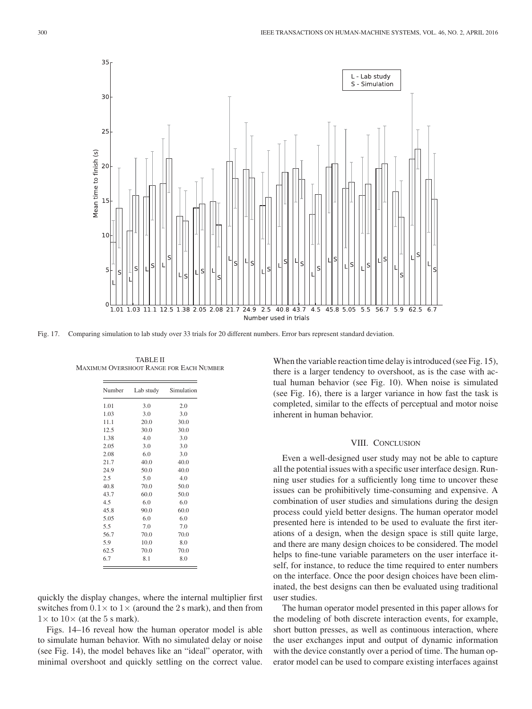

Fig. 17. Comparing simulation to lab study over 33 trials for 20 different numbers. Error bars represent standard deviation.

TABLE II MAXIMUM OVERSHOOT RANGE FOR EACH NUMBER

| Number | Lab study | Simulation |
|--------|-----------|------------|
| 1.01   | 3.0       | 2.0        |
| 1.03   | 3.0       | 3.0        |
| 11.1   | 20.0      | 30.0       |
| 12.5   | 30.0      | 30.0       |
| 1.38   | 4.0       | 3.0        |
| 2.05   | 3.0       | 3.0        |
| 2.08   | 6.0       | 3.0        |
| 21.7   | 40.0      | 40.0       |
| 24.9   | 50.0      | 40.0       |
| 2.5    | 5.0       | 4.0        |
| 40.8   | 70.0      | 50.0       |
| 43.7   | 60.0      | 50.0       |
| 4.5    | 6.0       | 6.0        |
| 45.8   | 90.0      | 60.0       |
| 5.05   | 6.0       | 6.0        |
| 5.5    | 7.0       | 7.0        |
| 56.7   | 70.0      | 70.0       |
| 5.9    | 10.0      | 8.0        |
| 62.5   | 70.0      | 70.0       |
| 6.7    | 8.1       | 8.0        |

quickly the display changes, where the internal multiplier first switches from  $0.1 \times$  to  $1 \times$  (around the 2 s mark), and then from  $1\times$  to  $10\times$  (at the 5 s mark).

Figs. 14–16 reveal how the human operator model is able to simulate human behavior. With no simulated delay or noise (see Fig. 14), the model behaves like an "ideal" operator, with minimal overshoot and quickly settling on the correct value.

When the variable reaction time delay is introduced (see Fig. 15), there is a larger tendency to overshoot, as is the case with actual human behavior (see Fig. 10). When noise is simulated (see Fig. 16), there is a larger variance in how fast the task is completed, similar to the effects of perceptual and motor noise inherent in human behavior.

# VIII. CONCLUSION

Even a well-designed user study may not be able to capture all the potential issues with a specific user interface design. Running user studies for a sufficiently long time to uncover these issues can be prohibitively time-consuming and expensive. A combination of user studies and simulations during the design process could yield better designs. The human operator model presented here is intended to be used to evaluate the first iterations of a design, when the design space is still quite large, and there are many design choices to be considered. The model helps to fine-tune variable parameters on the user interface itself, for instance, to reduce the time required to enter numbers on the interface. Once the poor design choices have been eliminated, the best designs can then be evaluated using traditional user studies.

The human operator model presented in this paper allows for the modeling of both discrete interaction events, for example, short button presses, as well as continuous interaction, where the user exchanges input and output of dynamic information with the device constantly over a period of time. The human operator model can be used to compare existing interfaces against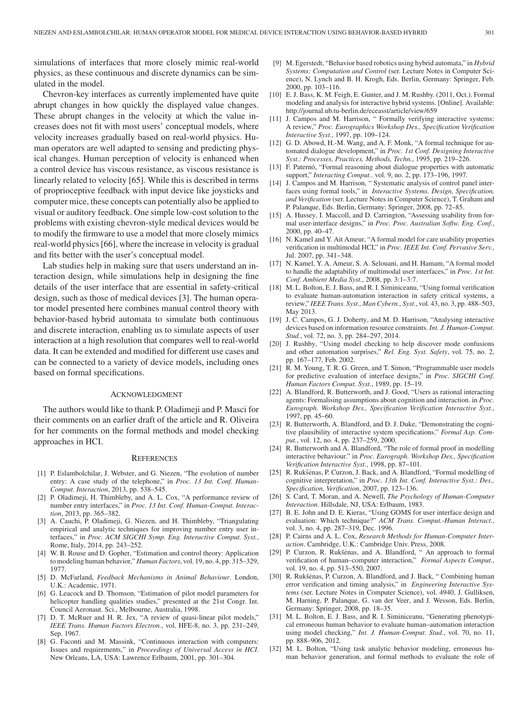simulations of interfaces that more closely mimic real-world physics, as these continuous and discrete dynamics can be simulated in the model.

Chevron-key interfaces as currently implemented have quite abrupt changes in how quickly the displayed value changes. These abrupt changes in the velocity at which the value increases does not fit with most users' conceptual models, where velocity increases gradually based on real-world physics. Human operators are well adapted to sensing and predicting physical changes. Human perception of velocity is enhanced when a control device has viscous resistance, as viscous resistance is linearly related to velocity [65]. While this is described in terms of proprioceptive feedback with input device like joysticks and computer mice, these concepts can potentially also be applied to visual or auditory feedback. One simple low-cost solution to the problems with existing chevron-style medical devices would be to modify the firmware to use a model that more closely mimics real-world physics [66], where the increase in velocity is gradual and fits better with the user's conceptual model.

Lab studies help in making sure that users understand an interaction design, while simulations help in designing the fine details of the user interface that are essential in safety-critical design, such as those of medical devices [3]. The human operator model presented here combines manual control theory with behavior-based hybrid automata to simulate both continuous and discrete interaction, enabling us to simulate aspects of user interaction at a high resolution that compares well to real-world data. It can be extended and modified for different use cases and can be connected to a variety of device models, including ones based on formal specifications.

## ACKNOWLEDGMENT

The authors would like to thank P. Oladimeji and P. Masci for their comments on an earlier draft of the article and R. Oliveira for her comments on the formal methods and model checking approaches in HCI.

#### **REFERENCES**

- [1] P. Eslambolchilar, J. Webster, and G. Niezen, "The evolution of number entry: A case study of the telephone," in *Proc. 13 Int. Conf. Human-Comput. Interaction*, 2013, pp. 538–545.
- [2] P. Oladimeji, H. Thimbleby, and A. L. Cox, "A performance review of number entry interfaces," in *Proc. 13 Int. Conf. Human-Comput. Interaction*, 2013, pp. 365–382.
- [3] A. Cauchi, P. Oladimeji, G. Niezen, and H. Thimbleby, "Triangulating empirical and analytic techniques for improving number entry user interfaces," in *Proc. ACM SIGCHI Symp. Eng. Interactive Comput. Syst.*, Rome, Italy, 2014, pp. 243–252.
- [4] W. B. Rouse and D. Gopher, "Estimation and control theory: Application to modeling human behavior," *Human Factors*, vol. 19, no. 4, pp. 315–329, 1977.
- [5] D. McFarland, *Feedback Mechanisms in Animal Behaviour*. London, U.K.: Academic, 1971.
- [6] G. Leacock and D. Thomson, "Estimation of pilot model parameters for helicopter handling qualities studies," presented at the 21st Congr. Int. Council Aeronaut. Sci., Melbourne, Australia, 1998.
- [7] D. T. McRuer and H. R. Jex, "A review of quasi-linear pilot models," *IEEE Trans. Human Factors Electron.*, vol. HFE-8, no. 3, pp. 231–249, Sep. 1967.
- [8] G. Faconti and M. Massink, "Continuous interaction with computers: Issues and requirements," in *Proceedings of Universal Access in HCI*. New Orleans, LA, USA: Lawrence Erlbaum, 2001, pp. 301–304.
- [9] M. Egerstedt, "Behavior based robotics using hybrid automata," in *Hybrid Systems: Computation and Control* (ser. Lecture Notes in Computer Science), N. Lynch and B. H. Krogh, Eds. Berlin, Germany: Springer, Feb. 2000, pp. 103–116.
- [10] E. J. Bass, K. M. Feigh, E. Gunter, and J. M. Rushby. (2011, Oct.). Formal modeling and analysis for interactive hybrid systems. [Online]. Available: http://journal.ub.tu-berlin.de/eceasst/article/view/659
- [11] J. Campos and M. Harrison, " Formally verifying interactive systems: A review," *Proc. Eurographics Workshop Des., Specification Verification Interactive Syst.*, 1997, pp. 109–124.
- [12] G. D. Abowd, H.-M. Wang, and A. F. Monk, "A formal technique for automated dialogue development," in *Proc. 1st Conf. Designing Interactive Syst.: Processes, Practices, Methods, Techn.*, 1995, pp. 219–226.
- [13] F. Paternó, "Formal reasoning about dialogue properties with automatic support," *Interacting Comput.*. vol. 9, no. 2, pp. 173–196, 1997.
- [14] J. Campos and M. Harrison, "Systematic analysis of control panel interfaces using formal tools," in *Interactive Systems. Design, Specification, and Verification* (ser. Lecture Notes in Computer Science), T. Graham and P. Palanque, Eds. Berlin, Germany: Springer, 2008, pp. 72–85.
- [15] A. Hussey, I. Maccoll, and D. Carrington, "Assessing usability from formal user-interface designs," in *Proc. Proc. Australian Softw. Eng. Conf.*, 2000, pp. 40–47.
- [16] N. Kamel and Y. Ait Ameur, "A formal model for care usability properties verification in multimodal HCI," in *Proc. IEEE Int. Conf. Pervasive Serv.*, Jul. 2007, pp. 341–348.
- [17] N. Kamel, Y. A. Ameur, S. A. Selouani, and H. Hamam, "A formal model to handle the adaptability of multimodal user interfaces," in *Proc. 1st Int. Conf. Ambient Media Syst.*, 2008, pp. 3:1–3:7.
- [18] M. L. Bolton, E. J. Bass, and R. I. Siminiceanu, "Using formal verification to evaluate human-automation interaction in safety critical systems, a review," *IEEE Trans. Syst., Man Cybern., Syst.*, vol. 43, no. 3, pp. 488–503, May 2013.
- [19] J. C. Campos, G. J. Doherty, and M. D. Harrison, "Analysing interactive devices based on information resource constraints. *Int. J. Human-Comput. Stud.*, vol. 72, no. 3, pp. 284–297, 2014.
- [20] J. Rushby, "Using model checking to help discover mode confusions and other automation surprises," *Rel. Eng. Syst. Safety*, vol. 75, no. 2, pp. 167–177, Feb. 2002.
- [21] R. M. Young, T. R. G. Green, and T. Simon, "Programmable user models for predictive evaluation of interface designs," in *Proc. SIGCHI Conf. Human Factors Comput. Syst.*, 1989, pp. 15–19.
- [22] A. Blandford, R. Butterworth, and J. Good, "Users as rational interacting agents: Formalising assumptions about cognition and interaction. in *Proc. Eurograph. Workshop Des., Specification Verification Interactive Syst.*, 1997, pp. 45–60.
- [23] R. Butterworth, A. Blandford, and D. J. Duke, "Demonstrating the cognitive plausibility of interactive system specifications." *Formal Asp. Comput.*, vol. 12, no. 4, pp. 237–259, 2000.
- [24] R. Butterworth and A. Blandford, "The role of formal proof in modelling interactive behaviour." in *Proc. Eurograph. Workshop Des., Specification Verification Interactive Syst.*, 1998, pp. 87–101.
- [25] R. Rukšėnas, P. Curzon, J. Back, and A. Blandford, "Formal modelling of cognitive interpretation," in *Proc. 13th Int. Conf. Interactive Syst.: Des., Specification, Verification*, 2007, pp. 123–136.
- [26] S. Card, T. Moran, and A. Newell, *The Psychology of Human-Computer Interaction*. Hillsdale, NJ, USA: Erlbaum, 1983.
- [27] B. E. John and D. E. Kieras, "Using GOMS for user interface design and evaluation: Which technique?" *ACM Trans. Comput.-Human Interact.*, vol. 3, no. 4, pp. 287–319, Dec. 1996.
- [28] P. Cairns and A. L. Cox, *Research Methods for Human-Computer Interaction*. Cambridge, U.K.: Cambridge Univ. Press, 2008.
- [29] P. Curzon, R. Rukšėnas, and A. Blandford, " An approach to formal verification of human–computer interaction," *Formal Aspects Comput.*, vol. 19, no. 4, pp. 513–550, 2007.
- [30] R. Rukšėnas, P. Curzon, A. Blandford, and J. Back, "Combining human error verification and timing analysis," in *Engineering Interactive Systems* (ser. Lecture Notes in Computer Science), vol. 4940, J. Gulliksen, M. Harning, P. Palanque, G. van der Veer, and J. Wesson, Eds. Berlin, Germany: Springer, 2008, pp. 18–35.
- [31] M. L. Bolton, E. J. Bass, and R. I. Siminiceanu, "Generating phenotypical erroneous human behavior to evaluate human–automation interaction using model checking," *Int. J. Human-Comput. Stud.*, vol. 70, no. 11, pp. 888–906, 2012.
- [32] M. L. Bolton, "Using task analytic behavior modeling, erroneous human behavior generation, and formal methods to evaluate the role of